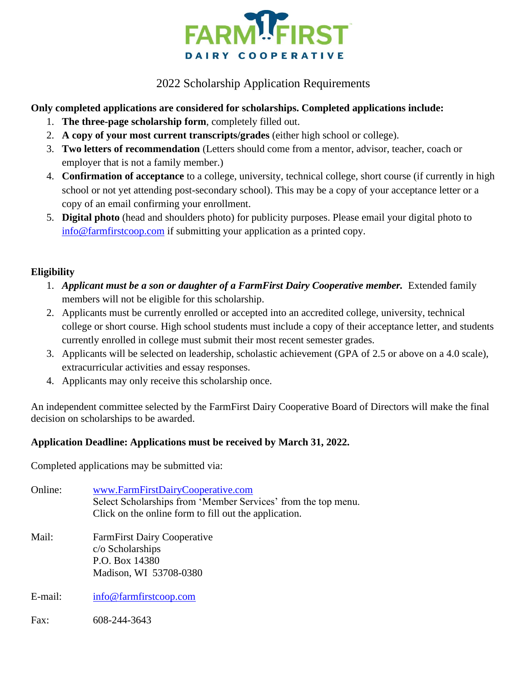

## 2022 Scholarship Application Requirements

### **Only completed applications are considered for scholarships. Completed applications include:**

- 1. **The three-page scholarship form**, completely filled out.
- 2. **A copy of your most current transcripts/grades** (either high school or college).
- 3. **Two letters of recommendation** (Letters should come from a mentor, advisor, teacher, coach or employer that is not a family member.)
- 4. **Confirmation of acceptance** to a college, university, technical college, short course (if currently in high school or not yet attending post-secondary school). This may be a copy of your acceptance letter or a copy of an email confirming your enrollment.
- 5. **Digital photo** (head and shoulders photo) for publicity purposes. Please email your digital photo to [info@farmfirstcoop.com](mailto:info@farmfirstcoop.com) if submitting your application as a printed copy.

#### **Eligibility**

- 1. *Applicant must be a son or daughter of a FarmFirst Dairy Cooperative member.* Extended family members will not be eligible for this scholarship.
- 2. Applicants must be currently enrolled or accepted into an accredited college, university, technical college or short course. High school students must include a copy of their acceptance letter, and students currently enrolled in college must submit their most recent semester grades.
- 3. Applicants will be selected on leadership, scholastic achievement (GPA of 2.5 or above on a 4.0 scale), extracurricular activities and essay responses.
- 4. Applicants may only receive this scholarship once.

An independent committee selected by the FarmFirst Dairy Cooperative Board of Directors will make the final decision on scholarships to be awarded.

### **Application Deadline: Applications must be received by March 31, 2022.**

Completed applications may be submitted via:

Online: [www.FarmFirstDairyCooperative.com](http://www.farmfirstdairycooperative.com/) Select Scholarships from 'Member Services' from the top menu. Click on the online form to fill out the application. Mail: FarmFirst Dairy Cooperative c/o Scholarships P.O. Box 14380 Madison, WI 53708-0380 E-mail: [info@farmfirstcoop.com](mailto:info@farmfirstcoop.com) Fax: 608-244-3643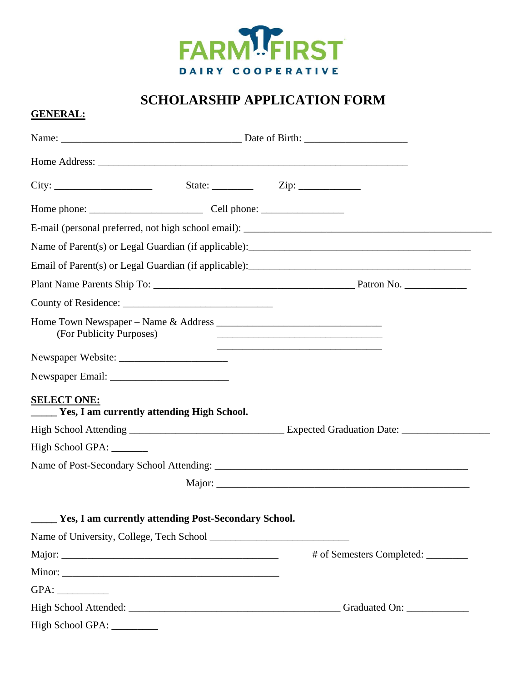

# **SCHOLARSHIP APPLICATION FORM**

#### **GENERAL:**

|                          |                                                                            | Email of Parent(s) or Legal Guardian (if applicable): 1992. [20] All and Supplicable Discover 10 All and Supplicable Discover 10 All and Supplicable Discover 10 All and Supplicable Discover 10 All and Supplication of Disco |
|--------------------------|----------------------------------------------------------------------------|--------------------------------------------------------------------------------------------------------------------------------------------------------------------------------------------------------------------------------|
|                          |                                                                            |                                                                                                                                                                                                                                |
|                          |                                                                            |                                                                                                                                                                                                                                |
| (For Publicity Purposes) |                                                                            | <u> 1989 - Johann Stoff, amerikansk politiker (d. 1989)</u>                                                                                                                                                                    |
|                          |                                                                            |                                                                                                                                                                                                                                |
|                          |                                                                            |                                                                                                                                                                                                                                |
| <b>SELECT ONE:</b>       | Yes, I am currently attending High School.                                 |                                                                                                                                                                                                                                |
|                          |                                                                            |                                                                                                                                                                                                                                |
| High School GPA: _______ |                                                                            |                                                                                                                                                                                                                                |
|                          |                                                                            |                                                                                                                                                                                                                                |
|                          |                                                                            |                                                                                                                                                                                                                                |
|                          | <b>Theory Eq. 1.5 Yes, I am currently attending Post-Secondary School.</b> |                                                                                                                                                                                                                                |
|                          |                                                                            |                                                                                                                                                                                                                                |
|                          |                                                                            | # of Semesters Completed: ________                                                                                                                                                                                             |
|                          |                                                                            |                                                                                                                                                                                                                                |
|                          |                                                                            |                                                                                                                                                                                                                                |
|                          |                                                                            |                                                                                                                                                                                                                                |
|                          |                                                                            |                                                                                                                                                                                                                                |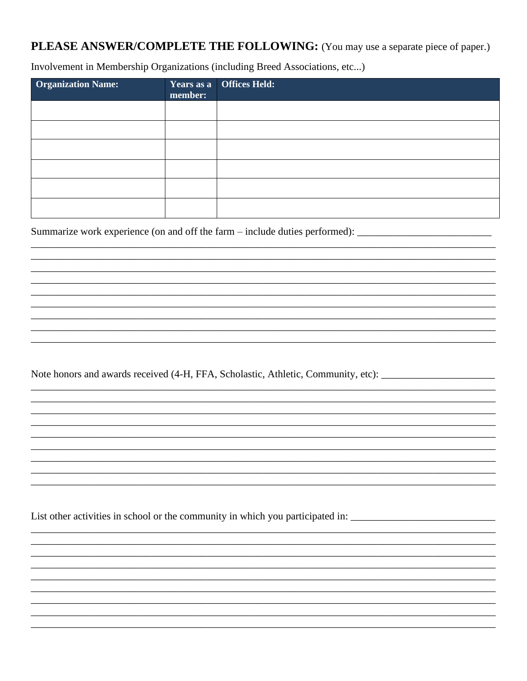# PLEASE ANSWER/COMPLETE THE FOLLOWING: (You may use a separate piece of paper.)

Involvement in Membership Organizations (including Breed Associations, etc...)

| <b>Organization Name:</b> | member: | Years as a Offices Held: |
|---------------------------|---------|--------------------------|
|                           |         |                          |
|                           |         |                          |
|                           |         |                          |
|                           |         |                          |
|                           |         |                          |
|                           |         |                          |

Summarize work experience (on and off the farm – include duties performed): \_\_\_\_\_\_\_\_\_\_\_\_\_\_\_\_\_\_\_\_\_\_\_

Note honors and awards received (4-H, FFA, Scholastic, Athletic, Community, etc): \_\_\_\_\_\_\_\_\_\_\_\_\_\_\_\_\_\_\_\_\_\_\_\_\_\_\_\_

List other activities in school or the community in which you participated in: